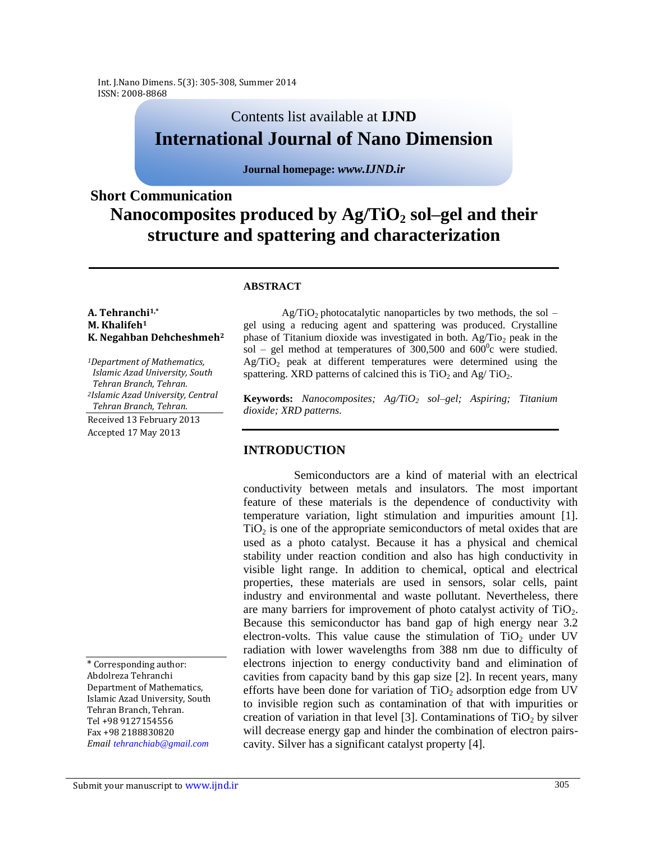# Contents list available at **IJND International Journal of Nano Dimension**

### **Journal homepage:** *www.IJND.ir*

# **Short Communication Nanocomposites produced by Ag/TiO<sup>2</sup> sol–gel and their structure and spattering and characterization**

### **ABSTRACT**

#### **A. Tehranchi1,\* M. Khalifeh<sup>1</sup> K. Negahban Dehcheshmeh<sup>2</sup>**

*<sup>1</sup>Department of Mathematics, Islamic Azad University, South Tehran Branch, Tehran. <sup>2</sup>Islamic Azad University, Central Tehran Branch, Tehran.*

Received 13 February 2013 Accepted 17 May 2013

\* Corresponding author: Abdolreza Tehranchi Department of Mathematics, Islamic Azad University, South Tehran Branch, Tehran. Tel +98 9127154556 Fax +98 2188830820 *Email tehranchiab@gmail.com*

 $Ag/TiO<sub>2</sub>$  photocatalytic nanoparticles by two methods, the sol – gel using a reducing agent and spattering was produced. Crystalline phase of Titanium dioxide was investigated in both.  $Ag/Tio<sub>2</sub>$  peak in the sol – gel method at temperatures of  $300,500$  and  $600^{\circ}$ c were studied.  $Ag/TiO<sub>2</sub>$  peak at different temperatures were determined using the spattering. XRD patterns of calcined this is  $TiO<sub>2</sub>$  and Ag/  $TiO<sub>2</sub>$ .

**Keywords:** *Nanocomposites; Ag/TiO<sup>2</sup> sol–gel; Aspiring; Titanium dioxide; XRD patterns.*

## **INTRODUCTION**

Semiconductors are a kind of material with an electrical conductivity between metals and insulators. The most important feature of these materials is the dependence of conductivity with temperature variation, light stimulation and impurities amount [1].  $TiO<sub>2</sub>$  is one of the appropriate semiconductors of metal oxides that are used as a photo catalyst. Because it has a physical and chemical stability under reaction condition and also has high conductivity in visible light range. In addition to chemical, optical and electrical properties, these materials are used in sensors, solar cells, paint industry and environmental and waste pollutant. Nevertheless, there are many barriers for improvement of photo catalyst activity of  $TiO<sub>2</sub>$ . Because this semiconductor has band gap of high energy near 3.2 electron-volts. This value cause the stimulation of  $TiO<sub>2</sub>$  under UV radiation with lower wavelengths from 388 nm due to difficulty of electrons injection to energy conductivity band and elimination of cavities from capacity band by this gap size [2]. In recent years, many efforts have been done for variation of  $TiO<sub>2</sub>$  adsorption edge from UV to invisible region such as contamination of that with impurities or creation of variation in that level [3]. Contaminations of  $TiO<sub>2</sub>$  by silver will decrease energy gap and hinder the combination of electron pairscavity. Silver has a significant catalyst property [4].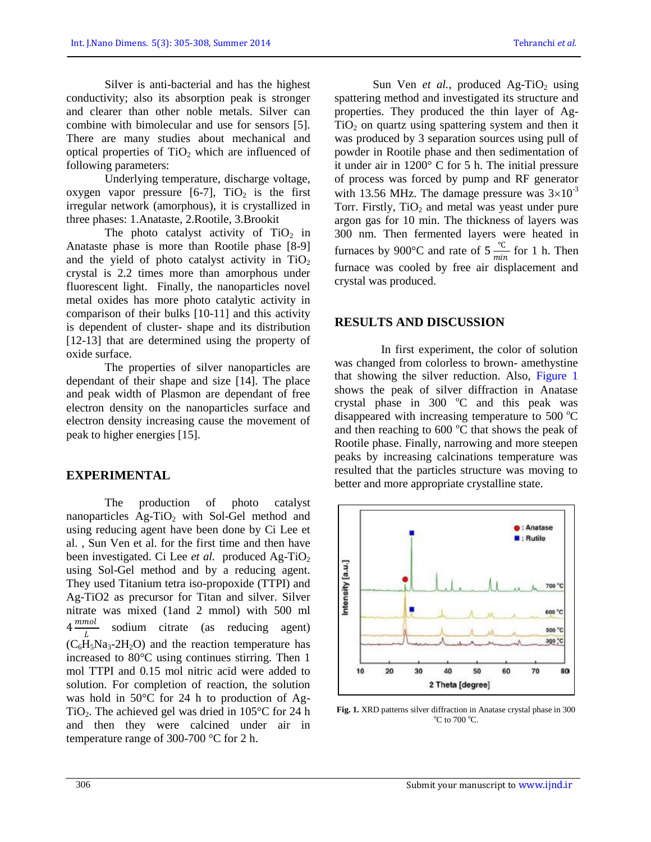Silver is anti-bacterial and has the highest conductivity; also its absorption peak is stronger and clearer than other noble metals. Silver can combine with bimolecular and use for sensors [5]. There are many studies about mechanical and optical properties of  $TiO<sub>2</sub>$  which are influenced of following parameters:

Underlying temperature, discharge voltage, oxygen vapor pressure  $[6-7]$ ,  $TiO<sub>2</sub>$  is the first irregular network (amorphous), it is crystallized in three phases: 1.Anataste, 2.Rootile, 3.Brookit

The photo catalyst activity of  $TiO<sub>2</sub>$  in Anataste phase is more than Rootile phase [8-9] and the yield of photo catalyst activity in  $TiO<sub>2</sub>$ crystal is 2.2 times more than amorphous under fluorescent light. Finally, the nanoparticles novel metal oxides has more photo catalytic activity in comparison of their bulks [10-11] and this activity is dependent of cluster- shape and its distribution [12-13] that are determined using the property of oxide surface.

The properties of silver nanoparticles are dependant of their shape and size [14]. The place and peak width of Plasmon are dependant of free electron density on the nanoparticles surface and electron density increasing cause the movement of peak to higher energies [15].

## **EXPERIMENTAL**

The production of photo catalyst nanoparticles  $Ag-TiO<sub>2</sub>$  with Sol-Gel method and using reducing agent have been done by Ci Lee et al. , Sun Ven et al. for the first time and then have been investigated. Ci Lee *et al.* produced Ag-TiO<sub>2</sub> using Sol-Gel method and by a reducing agent. They used Titanium tetra iso-propoxide (TTPI) and Ag-TiO2 as precursor for Titan and silver. Silver nitrate was mixed (1and 2 mmol) with 500 ml  $4 \frac{mmol}{I}$ L sodium citrate (as reducing agent)  $(C_6H_5Na_3-2H_2O)$  and the reaction temperature has increased to 80°C using continues stirring. Then 1 mol TTPI and 0.15 mol nitric acid were added to solution. For completion of reaction, the solution was hold in 50°C for 24 h to production of Ag-TiO<sub>2</sub>. The achieved gel was dried in  $105^{\circ}$ C for 24 h and then they were calcined under air in temperature range of 300-700 °C for 2 h.

Sun Ven *et al.*, produced Ag-TiO<sub>2</sub> using spattering method and investigated its structure and properties. They produced the thin layer of Ag- $TiO<sub>2</sub>$  on quartz using spattering system and then it was produced by 3 separation sources using pull of powder in Rootile phase and then sedimentation of it under air in 1200° C for 5 h. The initial pressure of process was forced by pump and RF generator with 13.56 MHz. The damage pressure was  $3\times10^{-3}$ Torr. Firstly,  $TiO<sub>2</sub>$  and metal was yeast under pure argon gas for 10 min. The thickness of layers was 300 nm. Then fermented layers were heated in furnaces by 900 $^{\circ}$ C and rate of 5 $\frac{^{\circ}C}{\cdots}$  $\frac{C}{min}$  for 1 h. Then furnace was cooled by free air displacement and crystal was produced.

### **RESULTS AND DISCUSSION**

In first experiment, the color of solution was changed from colorless to brown- amethystine that showing the silver reduction. Also, Figure 1 shows the peak of silver diffraction in Anatase crystal phase in  $300$  °C and this peak was disappeared with increasing temperature to  $500^{\circ}$ C and then reaching to  $600^{\circ}$ C that shows the peak of Rootile phase. Finally, narrowing and more steepen peaks by increasing calcinations temperature was resulted that the particles structure was moving to better and more appropriate crystalline state.



**Fig. 1.** XRD patterns silver diffraction in Anatase crystal phase in 300  $\rm{^{\circ}C}$  to 700  $\rm{^{\circ}C}$ .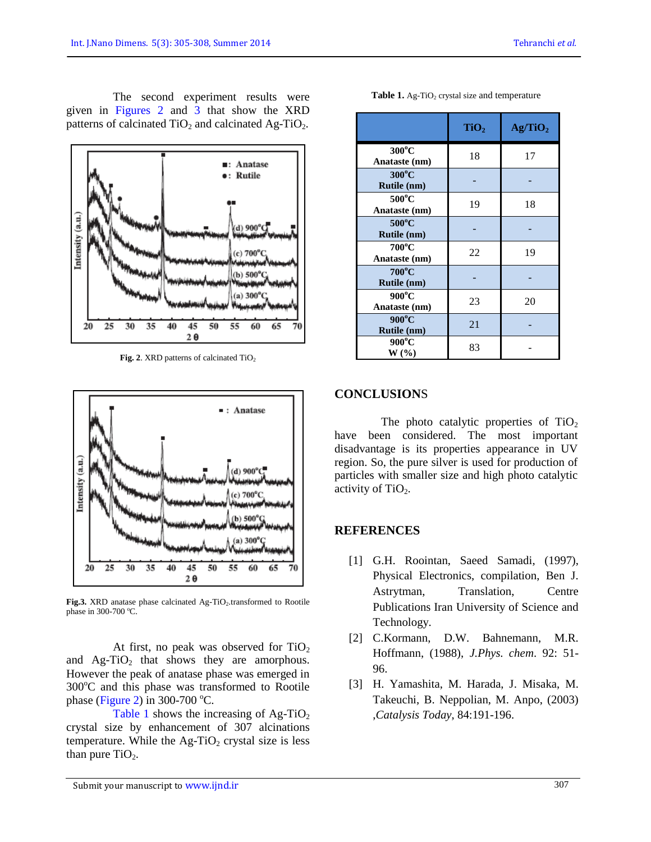The second experiment results were given in Figures 2 and 3 that show the XRD patterns of calcinated  $TiO<sub>2</sub>$  and calcinated Ag-TiO<sub>2</sub>.



Fig. 2. XRD patterns of calcinated TiO<sub>2</sub>



Fig.3. XRD anatase phase calcinated Ag-TiO<sub>2</sub>.transformed to Rootile phase in 300-700  $^{\circ}$ C.

At first, no peak was observed for  $TiO<sub>2</sub>$ and  $\text{Ag-TiO}_2$  that shows they are amorphous. However the peak of anatase phase was emerged in  $300^{\circ}$ C and this phase was transformed to Rootile phase (Figure 2) in 300-700  $^{\circ}$ C.

Table 1 shows the increasing of  $Ag-TiO<sub>2</sub>$ crystal size by enhancement of 307 alcinations temperature. While the  $\text{Ag-TiO}_2$  crystal size is less than pure  $TiO<sub>2</sub>$ .

|                                       | TiO <sub>2</sub> | Ag/TiO <sub>2</sub> |
|---------------------------------------|------------------|---------------------|
| $300^{\circ}$ C<br>Anataste (nm)      | 18               | 17                  |
| $300^{\circ}$ C<br>Rutile (nm)        |                  |                     |
| $500^{\circ}$ C<br>Anataste (nm)      | 19               | 18                  |
| $500^{\circ}$ C<br><b>Rutile (nm)</b> |                  |                     |
| $700^{\circ}$ C<br>Anataste (nm)      | 22               | 19                  |
| $700^{\circ}$ C<br>Rutile (nm)        |                  |                     |
| $900^{\circ}$ C<br>Anataste (nm)      | 23               | 20                  |
| $900^{\circ}$ C<br>Rutile (nm)        | 21               |                     |
| $900^{\circ}$ C<br>W (%)              | 83               |                     |

**Table 1.** Ag-TiO<sub>2</sub> crystal size and temperature

## **CONCLUSION**S

The photo catalytic properties of  $TiO<sub>2</sub>$ have been considered. The most important disadvantage is its properties appearance in UV region. So, the pure silver is used for production of particles with smaller size and high photo catalytic activity of  $TiO<sub>2</sub>$ .

### **REFERENCES**

- [1] G.H. Roointan, Saeed Samadi, (1997), Physical Electronics, compilation, Ben J. Astrytman, Translation, Centre Publications Iran University of Science and Technology.
- [2] C.Kormann, D.W. Bahnemann, M.R. Hoffmann, (1988), *J.Phys. chem*. 92: 51- 96.
- [3] H. Yamashita, M. Harada, J. Misaka, M. Takeuchi, B. Neppolian, M. Anpo, (2003) ,*Catalysis Today*, 84:191-196.